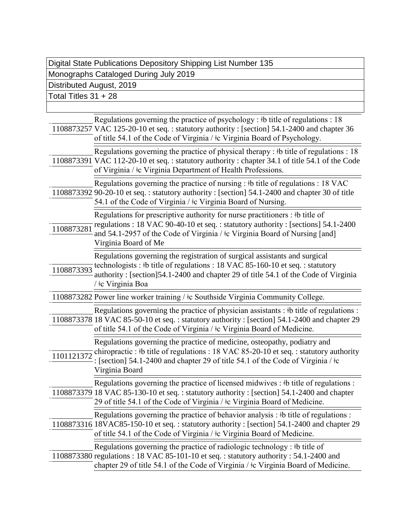Digital State Publications Depository Shipping List Number 135

Monographs Cataloged During July 2019

Distributed August, 2019

Total Titles 31 + 28

|            | Regulations governing the practice of psychology : #b title of regulations : 18<br>1108873257 VAC 125-20-10 et seq.: statutory authority: [section] 54.1-2400 and chapter 36<br>of title 54.1 of the Code of Virginia / ‡c Virginia Board of Psychology.                     |
|------------|------------------------------------------------------------------------------------------------------------------------------------------------------------------------------------------------------------------------------------------------------------------------------|
|            | Regulations governing the practice of physical therapy : $\frac{1}{2}$ b title of regulations : 18<br>1108873391 VAC 112-20-10 et seq.: statutory authority: chapter 34.1 of title 54.1 of the Code<br>of Virginia / ‡c Virginia Department of Health Professions.           |
|            | Regulations governing the practice of nursing : #b title of regulations : 18 VAC<br>1108873392 90-20-10 et seq.: statutory authority: [section] 54.1-2400 and chapter 30 of title<br>54.1 of the Code of Virginia / ‡c Virginia Board of Nursing.                            |
| 1108873281 | Regulations for prescriptive authority for nurse practitioners : #b title of<br>regulations : 18 VAC 90-40-10 et seq. : statutory authority : [sections] 54.1-2400<br>and 54.1-2957 of the Code of Virginia / ‡c Virginia Board of Nursing [and]<br>Virginia Board of Me     |
| 1108873393 | Regulations governing the registration of surgical assistants and surgical<br>technologists : #b title of regulations : 18 VAC 85-160-10 et seq. : statutory<br>authority: [section]54.1-2400 and chapter 29 of title 54.1 of the Code of Virginia<br>/ tc Virginia Boa      |
|            | 1108873282 Power line worker training / ‡c Southside Virginia Community College.                                                                                                                                                                                             |
|            | Regulations governing the practice of physician assistants : #b title of regulations :<br>1108873378 18 VAC 85-50-10 et seq.: statutory authority: [section] 54.1-2400 and chapter 29<br>of title 54.1 of the Code of Virginia / ‡c Virginia Board of Medicine.              |
| 1101121372 | Regulations governing the practice of medicine, osteopathy, podiatry and<br>chiropractic : #b title of regulations : 18 VAC 85-20-10 et seq. : statutory authority<br>: [section] 54.1-2400 and chapter 29 of title 54.1 of the Code of Virginia / $\pm c$<br>Virginia Board |
|            | Regulations governing the practice of licensed midwives : #b title of regulations :<br>1108873379 18 VAC 85-130-10 et seq.: statutory authority: [section] 54.1-2400 and chapter<br>29 of title 54.1 of the Code of Virginia / ‡c Virginia Board of Medicine.                |
|            | Regulations governing the practice of behavior analysis : #b title of regulations :<br>1108873316 18VAC85-150-10 et seq.: statutory authority: [section] 54.1-2400 and chapter 29<br>of title 54.1 of the Code of Virginia / ‡c Virginia Board of Medicine.                  |
|            | Regulations governing the practice of radiologic technology : #b title of<br>1108873380 regulations: 18 VAC 85-101-10 et seq.: statutory authority: 54.1-2400 and<br>chapter 29 of title 54.1 of the Code of Virginia / ‡c Virginia Board of Medicine.                       |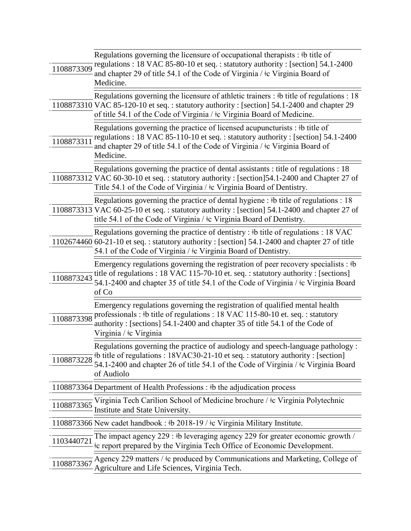| 1108873309 | Regulations governing the licensure of occupational therapists : #b title of<br>regulations : 18 VAC 85-80-10 et seq. : statutory authority : [section] 54.1-2400<br>and chapter 29 of title 54.1 of the Code of Virginia / $\pm c$ Virginia Board of<br>Medicine.           |
|------------|------------------------------------------------------------------------------------------------------------------------------------------------------------------------------------------------------------------------------------------------------------------------------|
|            | Regulations governing the licensure of athletic trainers : #b title of regulations : 18<br>1108873310 VAC 85-120-10 et seq.: statutory authority: [section] 54.1-2400 and chapter 29<br>of title 54.1 of the Code of Virginia / ‡c Virginia Board of Medicine.               |
| 1108873311 | Regulations governing the practice of licensed acupuncturists : #b title of<br>regulations: 18 VAC 85-110-10 et seq.: statutory authority: [section] 54.1-2400<br>and chapter 29 of title 54.1 of the Code of Virginia / $\frac{1}{2}$ c Virginia Board of<br>Medicine.      |
|            | Regulations governing the practice of dental assistants : title of regulations : 18<br>1108873312 VAC 60-30-10 et seq.: statutory authority: [section]54.1-2400 and Chapter 27 of<br>Title 54.1 of the Code of Virginia / ‡c Virginia Board of Dentistry.                    |
|            | Regulations governing the practice of dental hygiene : #b title of regulations : 18<br>1108873313 VAC 60-25-10 et seq.: statutory authority: [section] 54.1-2400 and chapter 27 of<br>title 54.1 of the Code of Virginia / ‡c Virginia Board of Dentistry.                   |
|            | Regulations governing the practice of dentistry: #b title of regulations: 18 VAC<br>1102674460 60-21-10 et seq.: statutory authority : [section] 54.1-2400 and chapter 27 of title<br>54.1 of the Code of Virginia / ‡c Virginia Board of Dentistry.                         |
| 1108873243 | Emergency regulations governing the registration of peer recovery specialists: $\pm b$<br>title of regulations : 18 VAC 115-70-10 et. seq. : statutory authority : [sections]<br>54.1-2400 and chapter 35 of title 54.1 of the Code of Virginia / ‡c Virginia Board<br>of Co |
| 1108873398 | Emergency regulations governing the registration of qualified mental health<br>professionals : #b title of regulations : 18 VAC 115-80-10 et. seq. : statutory<br>authority: [sections] 54.1-2400 and chapter 35 of title 54.1 of the Code of<br>Virginia / ‡c Virginia      |
| 1108873228 | Regulations governing the practice of audiology and speech-language pathology :<br>#b title of regulations : 18VAC30-21-10 et seq. : statutory authority : [section]<br>54.1-2400 and chapter 26 of title 54.1 of the Code of Virginia / ‡c Virginia Board<br>of Audiolo     |
|            | 1108873364 Department of Health Professions : #b the adjudication process                                                                                                                                                                                                    |
| 1108873365 | Virginia Tech Carilion School of Medicine brochure / ‡c Virginia Polytechnic<br>Institute and State University.                                                                                                                                                              |
|            | 1108873366 New cadet handbook : #b 2018-19 / #c Virginia Military Institute.                                                                                                                                                                                                 |
| 1103440721 | The impact agency $229:$ #b leveraging agency 229 for greater economic growth /<br>the report prepared by the Virginia Tech Office of Economic Development.                                                                                                                  |
| 1108873367 | Agency 229 matters / ‡c produced by Communications and Marketing, College of<br>Agriculture and Life Sciences, Virginia Tech.                                                                                                                                                |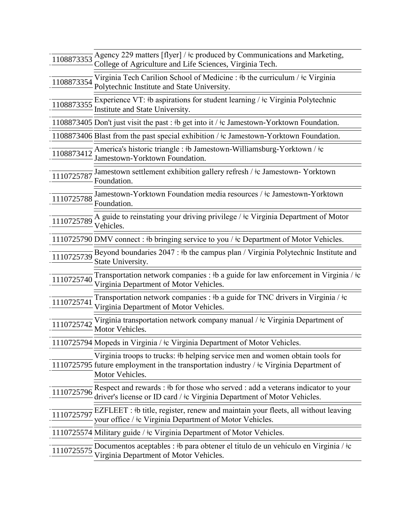| 1108873353 | Agency 229 matters [flyer] / ‡c produced by Communications and Marketing,<br>College of Agriculture and Life Sciences, Virginia Tech.                                                         |
|------------|-----------------------------------------------------------------------------------------------------------------------------------------------------------------------------------------------|
| 1108873354 | Virginia Tech Carilion School of Medicine : #b the curriculum / $\pm c$ Virginia<br>Polytechnic Institute and State University.                                                               |
| 1108873355 | Experience VT: #b aspirations for student learning / #c Virginia Polytechnic<br>Institute and State University.                                                                               |
|            | 1108873405 Don't just visit the past : #b get into it / $\pm$ Jamestown-Yorktown Foundation.                                                                                                  |
|            | 1108873406 Blast from the past special exhibition / $\pm c$ Jamestown-Yorktown Foundation.                                                                                                    |
| 1108873412 | America's historic triangle : #b Jamestown-Williamsburg-Yorktown / #c<br>Jamestown-Yorktown Foundation.                                                                                       |
|            | Jamestown settlement exhibition gallery refresh / ‡c Jamestown- Yorktown<br>Foundation.                                                                                                       |
|            | 1110725788 Jamestown-Yorktown Foundation media resources / ‡c Jamestown-Yorktown<br>Foundation.                                                                                               |
| 1110725789 | A guide to reinstating your driving privilege / ‡c Virginia Department of Motor<br>Vehicles.                                                                                                  |
|            | 1110725790 DMV connect : #b bringing service to you / #c Department of Motor Vehicles.                                                                                                        |
| 1110725739 | Beyond boundaries 2047 : #b the campus plan / Virginia Polytechnic Institute and<br>State University.                                                                                         |
| 1110725740 | Transportation network companies : #b a guide for law enforcement in Virginia / $\pm c$<br>Virginia Department of Motor Vehicles.                                                             |
| 1110725741 | Transportation network companies : $\frac{1}{2}$ b a guide for TNC drivers in Virginia / $\frac{1}{2}$ c<br>Virginia Department of Motor Vehicles.                                            |
| 1110725742 | Virginia transportation network company manual / ‡c Virginia Department of<br>Motor Vehicles.                                                                                                 |
|            | 1110725794 Mopeds in Virginia / ‡c Virginia Department of Motor Vehicles.                                                                                                                     |
|            | Virginia troops to trucks: #b helping service men and women obtain tools for<br>1110725795 future employment in the transportation industry / $\pm$ Virginia Department of<br>Motor Vehicles. |
| 1110725796 | Respect and rewards : #b for those who served : add a veterans indicator to your<br>driver's license or ID card / ‡c Virginia Department of Motor Vehicles.                                   |
| 1110725797 | EZFLEET : #b title, register, renew and maintain your fleets, all without leaving<br>your office / ‡c Virginia Department of Motor Vehicles.                                                  |
|            | 1110725574 Military guide / ‡c Virginia Department of Motor Vehicles.                                                                                                                         |
|            | 1110725575 Documentos aceptables : $\frac{1}{2}$ para obtener el título de un vehículo en Virginia / $\frac{1}{2}$<br>Virginia Department of Motor Vehicles.                                  |